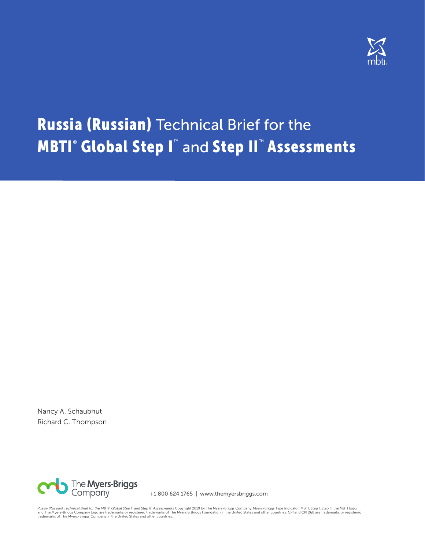

# Russia (Russian) Technical Brief for the **MBTI® Global Step I™** and Step II™ Assessments

Nancy A. Schaubhut Richard C. Thompson



+1 800 624 1765 | www.themyersbriggs.com

*Russia (Russian) Technical Brief for the MBTI" Global Step I" a*id Ste*p II" Assessments* Copyright 2019 by The Myers-Briggs Company. Myers-Briggs Type Indicator, MBTI, Step I, Step II, the MBTI logo,<br>and The Myers-Briggs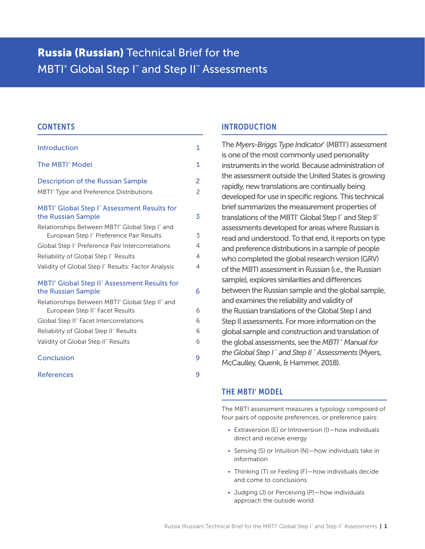# Russia (Russian) Technical Brief for the MBTI<sup>®</sup> Global Step I<sup>™</sup> and Step II™ Assessments

#### **CONTENTS**

| <b>Introduction</b>                                                                                                | 1              |
|--------------------------------------------------------------------------------------------------------------------|----------------|
| <b>The MBTI<sup>®</sup> Model</b>                                                                                  | 1              |
| <b>Description of the Russian Sample</b>                                                                           | $\overline{c}$ |
| MBTI <sup>®</sup> Type and Preference Distributions                                                                | $\overline{c}$ |
| MBTI <sup>®</sup> Global Step I <sup>™</sup> Assessment Results for<br>the Russian Sample                          | 3              |
| Relationships Between MBTI <sup>®</sup> Global Step I <sup>®</sup> and<br>European Step I" Preference Pair Results | 3              |
| Global Step I" Preference Pair Intercorrelations                                                                   | $\overline{4}$ |
| Reliability of Global Step I" Results                                                                              | $\overline{4}$ |
| Validity of Global Step I" Results: Factor Analysis                                                                | $\overline{4}$ |
| MBTI <sup>®</sup> Global Step II <sup>®</sup> Assessment Results for<br>the Russian Sample                         | 6              |
| Relationships Between MBTI <sup>®</sup> Global Step II® and<br>European Step II" Facet Results                     | 6              |
| Global Step II" Facet Intercorrelations                                                                            | 6              |
| Reliability of Global Step II" Results                                                                             | 6              |
| Validity of Global Step II" Results                                                                                | 6              |
| Conclusion                                                                                                         | 9              |
| References                                                                                                         | 9              |

### INTRODUCTION

The Myers-Briggs Type Indicator<sup>®</sup> (MBTI<sup>®</sup>) assessment is one of the most commonly used personality instruments in the world. Because administration of the assessment outside the United States is growing rapidly, new translations are continually being developed for use in specific regions. This technical brief summarizes the measurement properties of translations of the MBTI<sup>®</sup> Global Step I<sup>™</sup> and Step II<sup>™</sup> assessments developed for areas where Russian is read and understood. To that end, it reports on type and preference distributions in a sample of people who completed the global research version (GRV) of the MBTI assessment in Russian (i.e., the Russian sample), explores similarities and differences between the Russian sample and the global sample, and examines the reliability and validity of the Russian translations of the Global Step I and Step II assessments. For more information on the global sample and construction and translation of the global assessments, see the *MBTI* ®  *Manual for the Global Step I* ™  *and Step II* ™  *Assessments* (Myers, McCaulley, Quenk, & Hammer, 2018).

#### THE MBTI<sup>®</sup> MODEL

The MBTI assessment measures a typology composed of four pairs of opposite preferences, or preference pairs:

- Extraversion (E) or Introversion (I)—how individuals direct and receive energy
- Sensing (S) or Intuition (N)—how individuals take in information
- Thinking (T) or Feeling (F)—how individuals decide and come to conclusions
- Judging (J) or Perceiving (P)—how individuals approach the outside world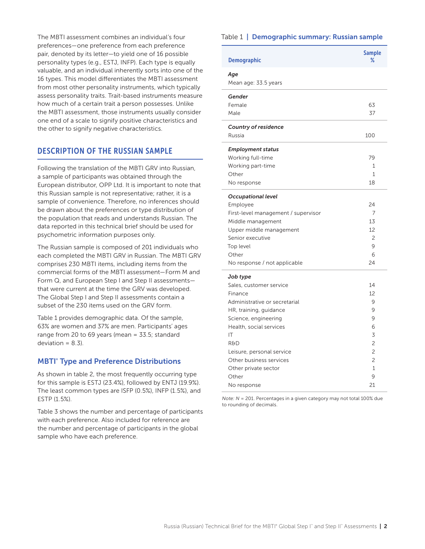The MBTI assessment combines an individual's four preferences—one preference from each preference pair, denoted by its letter—to yield one of 16 possible personality types (e.g., ESTJ, INFP). Each type is equally valuable, and an individual inherently sorts into one of the 16 types. This model differentiates the MBTI assessment from most other personality instruments, which typically assess personality traits. Trait-based instruments measure how much of a certain trait a person possesses. Unlike the MBTI assessment, those instruments usually consider one end of a scale to signify positive characteristics and the other to signify negative characteristics.

# DESCRIPTION OF THE RUSSIAN SAMPLE

Following the translation of the MBTI GRV into Russian, a sample of participants was obtained through the European distributor, OPP Ltd. It is important to note that this Russian sample is not representative; rather, it is a sample of convenience. Therefore, no inferences should be drawn about the preferences or type distribution of the population that reads and understands Russian. The data reported in this technical brief should be used for psychometric information purposes only.

The Russian sample is composed of 201 individuals who each completed the MBTI GRV in Russian. The MBTI GRV comprises 230 MBTI items, including items from the commercial forms of the MBTI assessment—Form M and Form Q, and European Step I and Step II assessments that were current at the time the GRV was developed. The Global Step I and Step II assessments contain a subset of the 230 items used on the GRV form.

Table 1 provides demographic data. Of the sample, 63% are women and 37% are men. Participants' ages range from 20 to 69 years (mean = 33.5; standard deviation =  $8.3$ ).

#### **MBTI<sup>®</sup> Type and Preference Distributions**

As shown in table 2, the most frequently occurring type for this sample is ESTJ (23.4%), followed by ENTJ (19.9%). The least common types are ISFP (0.5%), INFP (1.5%), and ESTP (1.5%).

Table 3 shows the number and percentage of participants with each preference. Also included for reference are the number and percentage of participants in the global sample who have each preference.

#### Table 1 | Demographic summary: Russian sample

| <b>Demographic</b>                  | <b>Sample</b><br>% |
|-------------------------------------|--------------------|
| Age                                 |                    |
| Mean age: 33.5 years                |                    |
|                                     |                    |
| Gender                              |                    |
| Female                              | 63                 |
| Male                                | 37                 |
| <b>Country of residence</b>         |                    |
| Russia                              | 100                |
|                                     |                    |
| <b>Employment status</b>            |                    |
| Working full-time                   | 79                 |
| Working part-time                   | 1                  |
| Other                               | 1                  |
| No response                         | 18                 |
| <b>Occupational level</b>           |                    |
| Employee                            | 24                 |
| First-level management / supervisor | 7                  |
| Middle management                   | 13                 |
| Upper middle management             | 12                 |
| Senior executive                    | $\overline{c}$     |
| Top level                           | 9                  |
| Other                               | 6                  |
| No response / not applicable        | 24                 |
|                                     |                    |
| Job type                            |                    |
| Sales, customer service             | 14                 |
| Finance                             | 12                 |
| Administrative or secretarial       | 9                  |
| HR, training, guidance              | 9                  |
| Science, engineering                | 9                  |
| Health, social services             | 6                  |
| IT                                  | 3                  |
| <b>R&amp;D</b>                      | $\overline{c}$     |
| Leisure, personal service           | $\overline{c}$     |
| Other business services             | $\overline{c}$     |
| Other private sector                | $\mathbf{1}$       |
| Other                               | 9                  |
| No response                         | 21                 |

*Note: N* = 201. Percentages in a given category may not total 100% due to rounding of decimals.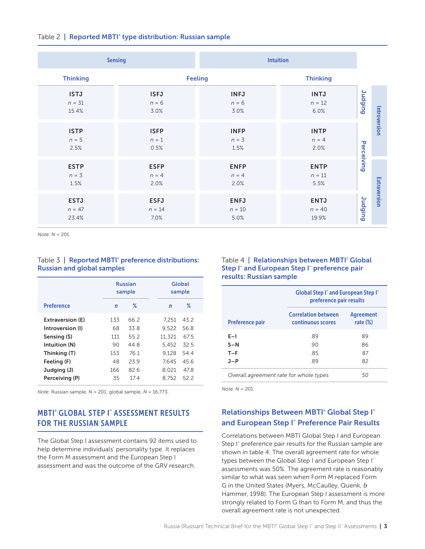|  |  |  | Table 2   Reported MBTI <sup>®</sup> type distribution: Russian sample |  |  |
|--|--|--|------------------------------------------------------------------------|--|--|
|--|--|--|------------------------------------------------------------------------|--|--|

|                                  | <b>Sensing</b>                  | <b>Intuition</b>                |                                  |                |              |
|----------------------------------|---------------------------------|---------------------------------|----------------------------------|----------------|--------------|
| <b>Thinking</b>                  |                                 | <b>Feeling</b>                  | <b>Thinking</b>                  |                |              |
| <b>ISTJ</b><br>$n = 31$<br>15.4% | <b>ISFJ</b><br>$n = 6$<br>3.0%  | <b>INFJ</b><br>$n = 6$<br>3.0%  | <b>INTJ</b><br>$n = 12$<br>6.0%  | <b>Judging</b> |              |
| <b>ISTP</b><br>$n = 5$<br>2.5%   | <b>ISFP</b><br>$n = 1$<br>0.5%  | <b>INFP</b><br>$n = 3$<br>1.5%  | <b>INTP</b><br>$n = 4$<br>2.0%   | Perceiving     | Introversion |
| <b>ESTP</b><br>$n = 3$<br>1.5%   | <b>ESFP</b><br>$n = 4$<br>2.0%  | <b>ENFP</b><br>$n = 4$<br>2.0%  | <b>ENTP</b><br>$n = 11$<br>5.5%  |                |              |
| <b>ESTJ</b><br>$n = 47$<br>23.4% | <b>ESFJ</b><br>$n = 14$<br>7.0% | <b>ENFJ</b><br>$n = 10$<br>5.0% | <b>ENTJ</b><br>$n = 40$<br>19.9% | <b>Judging</b> | Extraversion |

*Note: N* = 201.

#### Table 3 | Reported MBTI<sup>®</sup> preference distributions: Russian and global samples

|                   |             | <b>Russian</b><br>sample | Global<br>sample  |
|-------------------|-------------|--------------------------|-------------------|
| <b>Preference</b> | $\mathbf n$ | ℀                        | ℅<br>$\mathsf{n}$ |
| Extraversion (E)  | 133         | 66.2                     | 7.251<br>43.2     |
| Introversion (I)  | 68          | 33.8                     | 9.522<br>56.8     |
| Sensing (S)       | 111         | 55.2                     | 11.321<br>67.5    |
| Intuition (N)     | 90          | 44 8                     | 5.452<br>32.5     |
| Thinking (T)      | 153         | 76.1                     | 9.128<br>54.4     |
| Feeling (F)       | 48          | 239                      | 7.645<br>45.6     |
| Judging (J)       | 166         | 82.6                     | 8.021<br>47.8     |
| Perceiving (P)    | 35          | 17.4                     | 8.752<br>52.2     |
|                   |             |                          |                   |

*Note:* Russian sample, *N* = 201; global sample, *N* = 16,773.

# MBTI® GLOBAL STEP I™ ASSESSMENT RESULTS FOR THE RUSSIAN SAMPLE

The Global Step I assessment contains 92 items used to help determine individuals' personality type. It replaces the Form M assessment and the European Step I assessment and was the outcome of the GRV research.

#### Table 4 | Relationships between MBTI<sup>®</sup> Global Step I" and European Step I" preference pair results: Russian sample

|                                        | "Global Step I" and European Step I<br>preference pair results |                          |  |  |  |  |  |  |
|----------------------------------------|----------------------------------------------------------------|--------------------------|--|--|--|--|--|--|
| <b>Preference pair</b>                 | <b>Correlation between</b><br>continuous scores                | Agreement<br>rate $(\%)$ |  |  |  |  |  |  |
| $E-1$                                  | .89                                                            | 89                       |  |  |  |  |  |  |
| $S-N$                                  | 90                                                             | 86                       |  |  |  |  |  |  |
| $T-F$                                  | .85                                                            | 87                       |  |  |  |  |  |  |
| $J-P$                                  | .89                                                            | 82                       |  |  |  |  |  |  |
| Overall agreement rate for whole types | 50                                                             |                          |  |  |  |  |  |  |

*Note: N* = 201.

# Relationships Between MBTI<sup>®</sup> Global Step I<sup>™</sup> and European Step I™ Preference Pair Results

Correlations between MBTI Global Step I and European Step I<sup>™</sup> preference pair results for the Russian sample are shown in table 4. The overall agreement rate for whole types between the Global Step I and European Step I<sup>™</sup> assessments was 50%. The agreement rate is reasonably similar to what was seen when Form M replaced Form G in the United States (Myers, McCaulley, Quenk, & Hammer, 1998). The European Step I assessment is more strongly related to Form G than to Form M, and thus the overall agreement rate is not unexpected.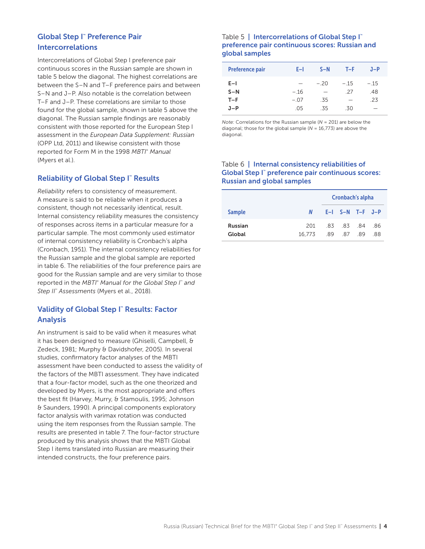# Global Step I™ Preference Pair Intercorrelations

Intercorrelations of Global Step I preference pair continuous scores in the Russian sample are shown in table 5 below the diagonal. The highest correlations are between the S–N and T–F preference pairs and between S–N and J–P. Also notable is the correlation between T–F and J–P. These correlations are similar to those found for the global sample, shown in table 5 above the diagonal. The Russian sample findings are reasonably consistent with those reported for the European Step I assessment in the *European Data Supplement: Russian* (OPP Ltd, 2011) and likewise consistent with those reported for Form M in the 1998 *MBTI*®  *Manual* (Myers et al.).

# **Reliability of Global Step I™ Results**

*Reliability* refers to consistency of measurement. A measure is said to be reliable when it produces a consistent, though not necessarily identical, result. Internal consistency reliability measures the consistency of responses across items in a particular measure for a particular sample. The most commonly used estimator of internal consistency reliability is Cronbach's alpha (Cronbach, 1951). The internal consistency reliabilities for the Russian sample and the global sample are reported in table 6. The reliabilities of the four preference pairs are good for the Russian sample and are very similar to those reported in the *MBTI*®  *Manual for the Global Step I*™  *and Step II*™  *Assessments* (Myers et al., 2018).

# Validity of Global Step I™ Results: Factor Analysis

An instrument is said to be valid when it measures what it has been designed to measure (Ghiselli, Campbell, & Zedeck, 1981; Murphy & Davidshofer, 2005). In several studies, confirmatory factor analyses of the MBTI assessment have been conducted to assess the validity of the factors of the MBTI assessment. They have indicated that a four-factor model, such as the one theorized and developed by Myers, is the most appropriate and offers the best fit (Harvey, Murry, & Stamoulis, 1995; Johnson & Saunders, 1990). A principal components exploratory factor analysis with varimax rotation was conducted using the item responses from the Russian sample. The results are presented in table 7. The four-factor structure produced by this analysis shows that the MBTI Global Step I items translated into Russian are measuring their intended constructs, the four preference pairs.

#### Table 5 | Intercorrelations of Global Step I<sup>™</sup> preference pair continuous scores: Russian and global samples

| <b>Preference pair</b>           | E-L                    | $S-N$                                           | T-F.                      | $J-P$                     |
|----------------------------------|------------------------|-------------------------------------------------|---------------------------|---------------------------|
| $E-I$<br>$S-N$<br>$T-F$<br>$J-P$ | $-.16$<br>$-07$<br>.05 | $-20$<br>$\overline{\phantom{a}}$<br>.35<br>.35 | $-.15$<br>-27<br>-<br>.30 | $-.15$<br>.48<br>.23<br>- |

*Note:* Correlations for the Russian sample (*N* = 201) are below the diagonal; those for the global sample (*N* = 16,773) are above the diagonal.

#### Table 6 | Internal consistency reliabilities of Global Step I™ preference pair continuous scores: Russian and global samples

|                          |               | Cronbach's alpha            |                         |  |           |
|--------------------------|---------------|-----------------------------|-------------------------|--|-----------|
| <b>Sample</b>            |               | $N$ $E-I$ $S-N$ $T-F$ $J-P$ |                         |  |           |
| <b>Russian</b><br>Global | 201<br>16.773 |                             | .83 .83 .84<br>89 87 89 |  | .86<br>88 |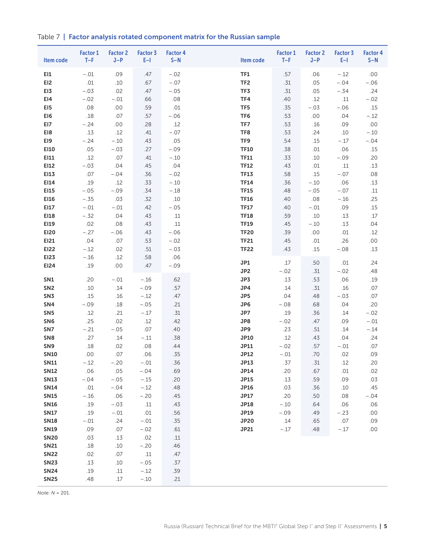Table 7 | Factor analysis rotated component matrix for the Russian sample

| Item code       | <b>Factor 1</b><br>$T-F$ | <b>Factor 2</b><br>$J-P$ | Factor 3<br>$E-1$ | <b>Factor 4</b><br>$S-N$ | Item code       | <b>Factor 1</b><br>$T-F$ | <b>Factor 2</b><br>$J-P$ | Factor 3<br>$E-1$ | <b>Factor 4</b><br>$S-N$ |
|-----------------|--------------------------|--------------------------|-------------------|--------------------------|-----------------|--------------------------|--------------------------|-------------------|--------------------------|
| EI1             | $-.01$                   | .09                      | .47               | $-.02$                   | <b>TF1</b>      | .57                      | .06                      | $-.12$            | .00                      |
| EI <sub>2</sub> | .01                      | .10                      | .67               | $-.07$                   | TF <sub>2</sub> | .31                      | .05                      | $-.04$            | $-.06$                   |
| EI3             | $-.03$                   | .02                      | .47               | $-.05$                   | TF3             | .31                      | .05                      | $-.34$            | .24                      |
| EI4             | $-.02$                   | $-.01$                   | .66               | .08                      | TF4             | .40                      | .12                      | $.11$             | $-.02$                   |
| EI5             | .08                      | .00                      | .59               | .01                      | TF5             | .35                      | $-.03$                   | $-.06$            | .15                      |
| EI6             | $.18\,$                  | .07                      | .57               | $-.06$                   | TF6             | .53                      | .00                      | .04               | $-.12$                   |
| EI7             | $-.24$                   | .00                      | .28               | .12                      | TF7             | .53                      | .16                      | .09               | .00                      |
| EI8             | .13                      | .12                      | .41               | $-.07$                   | TF8             | .53                      | .24                      | .10               | $-.10$                   |
| EI9             | $-.24$                   | $-.10$                   | .43               | .05                      | TF9             | .54                      | .15                      | $-.17$            | $-.04$                   |
| EI10            | .05                      | $-.03$                   | .27               | $-.09$                   | <b>TF10</b>     | .38                      | .01                      | .06               | .15                      |
| EI11            | .12                      | .07                      | .41               | $-.10$                   | <b>TF11</b>     | .33                      | .10                      | $-.09$            | .20                      |
| EI12            | $-.03$                   | .04                      | .45               | .04                      | <b>TF12</b>     | .43                      | .01                      | $.11$             | .13                      |
| EI13            | .07                      | $-.04$                   | .36               | $-.02$                   | <b>TF13</b>     | .58                      | .15                      | $-.07$            | .08                      |
| EI14            | .19                      | .12                      | .33               | $-.10$                   | <b>TF14</b>     | .36                      | $-.10$                   | .06               | .13                      |
| EI15            | $-.05$                   | $-.09$                   | .34               | $-.18$                   | <b>TF15</b>     | .48                      | $-.05$                   | $-.07$            | .11                      |
| EI16            | $-.35$                   | .03                      | .32               | .10                      | <b>TF16</b>     | .40                      | .08                      | $-.16$            | .25                      |
| EI17            | $-.01$                   | $-.01$                   | .42               | $-.05$                   | <b>TF17</b>     | .40                      | $-.01$                   | .09               | .15                      |
| EI18            | $-.32$                   | .04                      | .43               | .11                      | <b>TF18</b>     | .59                      | .10                      | .13               | .17                      |
| EI19            | .02                      | .08                      | .43               | $.11\,$                  | <b>TF19</b>     | .45                      | $-.10$                   | .13               | .04                      |
| <b>EI20</b>     | $-.27$                   | $-.06$                   | .43               | $-.06$                   | <b>TF20</b>     | .39                      | .00                      | .01               | .12                      |
| EI21            | .04                      | .07                      | .53               | $-.02$                   | <b>TF21</b>     | .45                      | $.01$                    | .26               | .00                      |
| <b>EI22</b>     | $-.12$                   | .02                      | .51               | $-.03$                   | <b>TF22</b>     | .43                      | .15                      | $-.08$            | .13                      |
| <b>EI23</b>     | $-.16$                   | .12                      | .58               | .06                      | JP1             | .17                      | .50                      | .01               | .24                      |
| EI24            | .19                      | .00                      | .47               | $-.09$                   | JP2             | $-.02$                   | .31                      | $-.02$            | .48                      |
| SN1             | .20                      | $-.01$                   | $-.16$            | .62                      | JP3             | .13                      | .53                      | .06               | .19                      |
| SN <sub>2</sub> | .10                      | .14                      | $-.09$            | .57                      | JP4             | .14                      | .31                      | .16               | .07                      |
| SN <sub>3</sub> | .15                      | .16                      | $-.12$            | .47                      | JP5             | .04                      | .48                      | $-.03$            | .07                      |
| SN4             | $-.09$                   | .18                      | $-.05$            | .21                      | JP6             | $-.08$                   | .68                      | .04               | .20                      |
| SN <sub>5</sub> | .12                      | .21                      | $-.17$            | .31                      | JP7             | .19                      | .36                      | .14               | $-.02$                   |
| SN <sub>6</sub> | .25                      | .02                      | .12               | .42                      | JP8             | $-.02$                   | .47                      | .09               | $-.01$                   |
| SN7             | $-.21$                   | $-.05$                   | .07               | .40                      | JP9             | .23                      | .51                      | .14               | $-.14$                   |
| SN <sub>8</sub> | .27                      | .14                      | $-.11$            | .38                      | <b>JP10</b>     | .12                      | .43                      | .04               | .24                      |
| SN <sub>9</sub> | .18                      | .02                      | .08               | .44                      | JP11            | $-.02$                   | .57                      | $-.01$            | .07                      |
| <b>SN10</b>     | .00                      | .07                      | .06               | .35                      | <b>JP12</b>     | $-.01$                   | .70                      | .02               | .09                      |
| <b>SN11</b>     | $-.12$                   | $-.20$                   | $-.01$            | .36                      | JP13            | .37                      | .31                      | .12               | .20                      |
| <b>SN12</b>     | .06                      | .05                      | $-.04$            | .69                      | JP14            | .20                      | .67                      | .01               | .02                      |
| <b>SN13</b>     | $-.04$                   | $-.05$                   | $-.15$            | .20                      | <b>JP15</b>     | .13                      | .59                      | .09               | .03                      |
| <b>SN14</b>     | .01                      | $-.04$                   | $-.12$            | .48                      | <b>JP16</b>     | .03                      | .36                      | .10               | .45                      |
| <b>SN15</b>     | $-.16$                   | .06                      | $-.20$            | .45                      | JP17            | .20                      | .50                      | .08               | $-.04$                   |
| <b>SN16</b>     | .19                      | $-.03$                   | .11               | .43                      | <b>JP18</b>     | $-.10$                   | .64                      | .06               | .06                      |
| <b>SN17</b>     | .19                      | $-.01$                   | .01               | .56                      | JP19            | $-.09$                   | .49                      | $-.23$            | .00                      |
| <b>SN18</b>     | $-.01$                   | .24                      | $-.01$            | .35                      | <b>JP20</b>     | .14                      | .65                      | .07               | .09                      |
| <b>SN19</b>     | .09                      | .07                      | $-.02$            | .61                      | JP21            | $-.17$                   | .48                      | $-.17$            | .00                      |
| <b>SN20</b>     | .03                      | .13                      | .02               | .11                      |                 |                          |                          |                   |                          |
| <b>SN21</b>     | .18                      | .10                      | $-.20$            | .46                      |                 |                          |                          |                   |                          |
| <b>SN22</b>     | .02                      | .07                      | .11               | .47                      |                 |                          |                          |                   |                          |
| <b>SN23</b>     | .13                      | .10                      | $-.05$            | .37                      |                 |                          |                          |                   |                          |
| <b>SN24</b>     | .19                      | .11                      | $-.12$            | .39                      |                 |                          |                          |                   |                          |
| <b>SN25</b>     | .48                      | .17                      | $-.10$            | .21                      |                 |                          |                          |                   |                          |

*Note: N* = 201.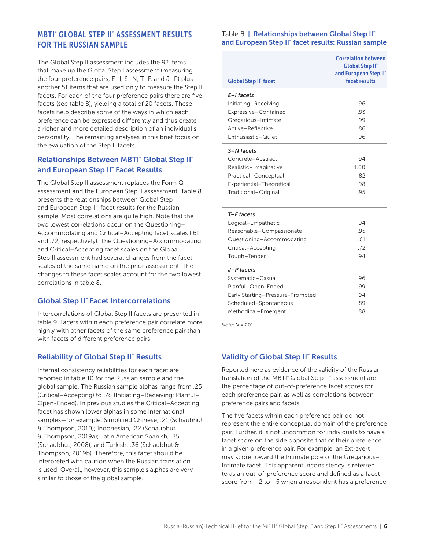# MBTI® GLOBAL STEP II™ ASSESSMENT RESULTS FOR THE RUSSIAN SAMPLE

The Global Step II assessment includes the 92 items that make up the Global Step I assessment (measuring the four preference pairs, E–I, S–N, T–F, and J–P) plus another 51 items that are used only to measure the Step II facets. For each of the four preference pairs there are five facets (see table 8), yielding a total of 20 facets. These facets help describe some of the ways in which each preference can be expressed differently and thus create a richer and more detailed description of an individual's personality. The remaining analyses in this brief focus on the evaluation of the Step II facets.

# **Relationships Between MBTI® Global Step II™** and European Step II™ Facet Results

The Global Step II assessment replaces the Form Q assessment and the European Step II assessment. Table 8 presents the relationships between Global Step II and European Step II™ facet results for the Russian sample. Most correlations are quite high. Note that the two lowest correlations occur on the Questioning– Accommodating and Critical–Accepting facet scales (.61 and .72, respectively). The Questioning–Accommodating and Critical–Accepting facet scales on the Global Step II assessment had several changes from the facet scales of the same name on the prior assessment. The changes to these facet scales account for the two lowest correlations in table 8.

# Global Step II<sup>™</sup> Facet Intercorrelations

Intercorrelations of Global Step II facets are presented in table 9. Facets within each preference pair correlate more highly with other facets of the same preference pair than with facets of different preference pairs.

# **Reliability of Global Step II™ Results**

Internal consistency reliabilities for each facet are reported in table 10 for the Russian sample and the global sample. The Russian sample alphas range from .25 (Critical–Accepting) to .78 (Initiating–Receiving; Planful– Open-Ended). In previous studies the Critical–Accepting facet has shown lower alphas in some international samples—for example, Simplified Chinese, .21 (Schaubhut & Thompson, 2010); Indonesian, .22 (Schaubhut & Thompson, 2019a); Latin American Spanish, .35 (Schaubhut, 2008); and Turkish, .36 (Schaubhut & Thompson, 2019b). Therefore, this facet should be interpreted with caution when the Russian translation is used. Overall, however, this sample's alphas are very similar to those of the global sample.

#### Table 8 | Relationships between Global Step II™ and European Step II™ facet results: Russian sample

| <b>Global Step II</b> " facet    | <b>Correlation between</b><br><b>Global Step II</b> "<br>and European Step II"<br>facet results |
|----------------------------------|-------------------------------------------------------------------------------------------------|
| E-I facets                       |                                                                                                 |
| Initiating-Receiving             | .96                                                                                             |
| Expressive-Contained             | .93                                                                                             |
| Gregarious-Intimate              | .99                                                                                             |
| Active-Reflective                | .86                                                                                             |
| Enthusiastic-Quiet               | .96                                                                                             |
| S-N facets                       |                                                                                                 |
| Concrete-Abstract                | .94                                                                                             |
| Realistic-Imaginative            | 1.00                                                                                            |
| Practical-Conceptual             | .82                                                                                             |
| Experiential-Theoretical         | .98                                                                                             |
| Traditional-Original             | .95                                                                                             |
| T-F facets                       |                                                                                                 |
| Logical-Empathetic               | .94                                                                                             |
| Reasonable-Compassionate         | .95                                                                                             |
| Questioning-Accommodating        | .61                                                                                             |
| Critical-Accepting               | .72                                                                                             |
| Tough-Tender                     | .94                                                                                             |
| J-P facets                       |                                                                                                 |
| Systematic-Casual                | .96                                                                                             |
| Planful-Open-Ended               | .99                                                                                             |
| Early Starting-Pressure-Prompted | .94                                                                                             |
| Scheduled-Spontaneous            | .89                                                                                             |
| Methodical-Emergent              | .88                                                                                             |

*Note: N* = 201.

# Validity of Global Step II™ Results

Reported here as evidence of the validity of the Russian translation of the MBTI® Global Step II® assessment are the percentage of out-of-preference facet scores for each preference pair, as well as correlations between preference pairs and facets.

The five facets within each preference pair do not represent the entire conceptual domain of the preference pair. Further, it is not uncommon for individuals to have a facet score on the side opposite that of their preference in a given preference pair. For example, an Extravert may score toward the Intimate pole of the Gregarious– Intimate facet. This apparent inconsistency is referred to as an out-of-preference score and defined as a facet score from –2 to –5 when a respondent has a preference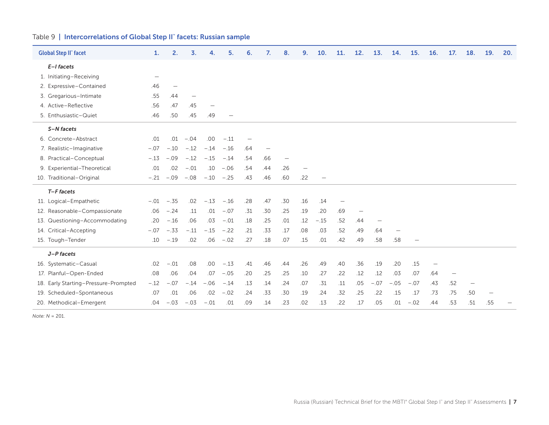#### Table 9 | Intercorrelations of Global Step II™ facets: Russian sample

| <b>Global Step II</b> " facet        | 1.     | 2.                       | 3.     | 4.                | 5.           | 6.                       | 7.                       | 8.                | 9.                              | 10.    | 11. | 12.                      | 13.    | 14.                      | 15.    | <b>16.</b> | 17.                      | 18.               | 19.                      | 20. |
|--------------------------------------|--------|--------------------------|--------|-------------------|--------------|--------------------------|--------------------------|-------------------|---------------------------------|--------|-----|--------------------------|--------|--------------------------|--------|------------|--------------------------|-------------------|--------------------------|-----|
| $E-I$ facets                         |        |                          |        |                   |              |                          |                          |                   |                                 |        |     |                          |        |                          |        |            |                          |                   |                          |     |
| 1. Initiating-Receiving              | -      |                          |        |                   |              |                          |                          |                   |                                 |        |     |                          |        |                          |        |            |                          |                   |                          |     |
| 2. Expressive-Contained              | .46    | $\overline{\phantom{m}}$ |        |                   |              |                          |                          |                   |                                 |        |     |                          |        |                          |        |            |                          |                   |                          |     |
| 3. Gregarious-Intimate               | .55    | .44                      |        |                   |              |                          |                          |                   |                                 |        |     |                          |        |                          |        |            |                          |                   |                          |     |
| 4. Active-Reflective                 | .56    | .47                      | .45    | $\qquad \qquad -$ |              |                          |                          |                   |                                 |        |     |                          |        |                          |        |            |                          |                   |                          |     |
| 5. Enthusiastic-Quiet                | .46    | .50                      | .45    | .49               |              |                          |                          |                   |                                 |        |     |                          |        |                          |        |            |                          |                   |                          |     |
| S-N facets                           |        |                          |        |                   |              |                          |                          |                   |                                 |        |     |                          |        |                          |        |            |                          |                   |                          |     |
| 6. Concrete-Abstract                 | .01    | .01                      | $-.04$ | .00               | $-.11$       | $\overline{\phantom{m}}$ |                          |                   |                                 |        |     |                          |        |                          |        |            |                          |                   |                          |     |
| 7. Realistic-Imaginative             | $-.07$ | $-.10$                   | $-.12$ | $-.14$            | $-.16$       | .64                      | $\overline{\phantom{m}}$ |                   |                                 |        |     |                          |        |                          |        |            |                          |                   |                          |     |
| 8. Practical-Conceptual              | $-.13$ | $-.09$                   | $-.12$ | $-.15$            | $-.14$       | .54                      | .66                      | $\qquad \qquad -$ |                                 |        |     |                          |        |                          |        |            |                          |                   |                          |     |
| 9. Experiential-Theoretical          | .01    | .02                      | $-.01$ | .10               | $-.06$       | .54                      | .44                      | .26               | $\hspace{0.1mm}-\hspace{0.1mm}$ |        |     |                          |        |                          |        |            |                          |                   |                          |     |
| 10. Traditional-Original             |        | $-.21 - .09$             | $-.08$ |                   | $-.10 - .25$ | .43                      | .46                      | .60               | .22                             |        |     |                          |        |                          |        |            |                          |                   |                          |     |
| $T-F$ facets                         |        |                          |        |                   |              |                          |                          |                   |                                 |        |     |                          |        |                          |        |            |                          |                   |                          |     |
| 11. Logical-Empathetic               | $-.01$ | $-.35$                   | .02    | $-.13$            | $-.16$       | .28                      | .47                      | .30               | .16                             | .14    |     |                          |        |                          |        |            |                          |                   |                          |     |
| 12. Reasonable-Compassionate         | .06    | $-.24$                   | .11    | .01               | $-.07$       | .31                      | .30                      | .25               | .19                             | .20    | .69 | $\overline{\phantom{m}}$ |        |                          |        |            |                          |                   |                          |     |
| 13. Questioning-Accommodating        | .20    | $-.16$                   | .06    | .03               | $-.01$       | .18                      | .25                      | .01               | .12                             | $-.15$ | .52 | .44                      |        |                          |        |            |                          |                   |                          |     |
| 14. Critical-Accepting               | $-.07$ | $-.33$                   | $-.11$ | $-.15$            | $-.22$       | .21                      | .33                      | .17               | .08                             | .03    | .52 | .49                      | .64    | $\overline{\phantom{m}}$ |        |            |                          |                   |                          |     |
| 15. Tough-Tender                     | .10    | $-.19$                   | .02    | .06               | $-.02$       | .27                      | .18                      | .07               | .15                             | .01    | .42 | .49                      | .58    | .58                      |        |            |                          |                   |                          |     |
| J-P facets                           |        |                          |        |                   |              |                          |                          |                   |                                 |        |     |                          |        |                          |        |            |                          |                   |                          |     |
| 16. Systematic-Casual                | .02    | $-.01$                   | .08    | .00               | $-.13$       | .41                      | .46                      | .44               | .26                             | .49    | .40 | .36                      | .19    | .20                      | .15    |            |                          |                   |                          |     |
| 17. Planful-Open-Ended               | .08    | .06                      | .04    | .07               | $-.05$       | .20                      | .25                      | .25               | .10                             | .27    | .22 | .12                      | .12    | .03                      | .07    | .64        | $\overline{\phantom{m}}$ |                   |                          |     |
| 18. Early Starting-Pressure-Prompted | $-.12$ | $-.07$                   | $-.14$ | $-.06$            | $-.14$       | .13                      | .14                      | .24               | .07                             | .31    | .11 | .05                      | $-.07$ | $-.05$                   | $-.07$ | .43        | .52                      | $\qquad \qquad -$ |                          |     |
| 19. Scheduled-Spontaneous            | .07    | .01                      | .06    | .02               | $-.02$       | .24                      | .33                      | .30               | .19                             | .24    | .32 | .25                      | .22    | .15                      | .17    | .73        | .75                      | .50               | $\overline{\phantom{m}}$ |     |
| 20. Methodical-Emergent              | .04    | $-.03$                   | $-.03$ | $-.01$            | .01          | .09                      | .14                      | .23               | .02                             | .13    | .22 | .17                      | .05    | .01                      | $-.02$ | .44        | .53                      | .51               | .55                      |     |

*Note: N* = 201.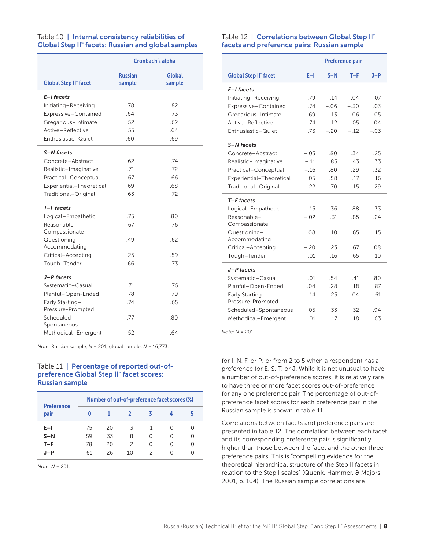#### Table 10 | Internal consistency reliabilities of Global Step II™ facets: Russian and global samples

|                               |                          | <b>Cronbach's alpha</b> |
|-------------------------------|--------------------------|-------------------------|
| <b>Global Step II" facet</b>  | <b>Russian</b><br>sample | Global<br>sample        |
| E-I facets                    |                          |                         |
| Initiating-Receiving          | .78                      | .82                     |
| Expressive-Contained          | .64                      | .73                     |
| Gregarious-Intimate           | .52                      | .62                     |
| Active-Reflective             | .55                      | .64                     |
| Enthusiastic-Quiet            | .60                      | .69                     |
| S-N facets                    |                          |                         |
| Concrete-Abstract             | .62                      | .74                     |
| Realistic-Imaginative         | .71                      | .72                     |
| Practical-Conceptual          | .67                      | .66                     |
| Experiential-Theoretical      | .69                      | .68                     |
| Traditional-Original          | .63                      | .72                     |
| T-F facets                    |                          |                         |
| Logical-Empathetic            | .75                      | .80                     |
| Reasonable-                   | .67                      | 76                      |
| Compassionate                 |                          |                         |
| Questioning-<br>Accommodating | .49                      | .62                     |
| Critical-Accepting            | .25                      | .59                     |
| Tough-Tender                  | .66                      | .73                     |
| J-P facets                    |                          |                         |
| Systematic-Casual             | .71                      | .76                     |
| Planful-Open-Ended            | .78                      | .79                     |
| Early Starting-               | .74                      | .65                     |
| Pressure-Prompted             |                          |                         |
| Scheduled-                    | .77                      | .80                     |
| Spontaneous                   |                          |                         |
| Methodical-Emergent           | .52                      | .64                     |

*Note:* Russian sample, *N* = 201; global sample, *N* = 16,773.

#### Table 11 | Percentage of reported out-ofpreference Global Step II™ facet scores: Russian sample

| <b>Preference</b> | Number of out-of-preference facet scores (%) |    |               |   |   |                  |  |
|-------------------|----------------------------------------------|----|---------------|---|---|------------------|--|
| pair              | o                                            |    | 2             | ζ |   | ь                |  |
| $E-I$             | 75                                           | 20 | Κ             | 1 |   | $\left( \right)$ |  |
| $S-N$             | 59                                           | 33 | 8             | Ω | U | Ω                |  |
| $T-F$             | 78                                           | 20 | $\mathcal{P}$ | U | O | ∩                |  |
| .1-P              | 61                                           | 26 | 10            |   |   | $\cap$           |  |

*Note: N* = 201.

#### Table 12 | Correlations between Global Step II™ facets and preference pairs: Russian sample

|                              |        | <b>Preference pair</b> |        |        |  |  |
|------------------------------|--------|------------------------|--------|--------|--|--|
| <b>Global Step II" facet</b> | E-I    | $S-N$                  | $T-F$  | $J-P$  |  |  |
| E-I facets                   |        |                        |        |        |  |  |
| Initiating-Receiving         | .79    | $-.14$                 | .04    | .07    |  |  |
| Expressive-Contained         | 74     | $-.06$                 | $-.30$ | .03    |  |  |
| Gregarious-Intimate          | .69    | $-.13$                 | .06    | .05    |  |  |
| Active-Reflective            | .74    | $-.12$                 | $-.05$ | .04    |  |  |
| Enthusiastic-Quiet           | .73    | $-.20$                 | $-.12$ | $-.03$ |  |  |
| S-N facets                   |        |                        |        |        |  |  |
| Concrete-Abstract            | $-.03$ | .80                    | .34    | .25    |  |  |
| Realistic-Imaginative        | $-.11$ | .85                    | .43    | .33    |  |  |
| Practical-Conceptual         | $-.16$ | .80                    | .29    | .32    |  |  |
| Experiential-Theoretical     | .05    | .58                    | .17    | .16    |  |  |
| Traditional-Original         | $-.22$ | .70                    | .15    | .29    |  |  |
| T-F facets                   |        |                        |        |        |  |  |
| Logical-Empathetic           | $-.15$ | .36                    | .88    | .33    |  |  |
| Reasonable-<br>Compassionate | $-.02$ | .31                    | .85    | .24    |  |  |
| Questioning-                 | .08    | .10                    | .65    | .15    |  |  |
| Accommodating                |        |                        |        |        |  |  |
| Critical-Accepting           | $-.20$ | .23                    | .67    | 08     |  |  |
| Tough-Tender                 | .01    | .16                    | .65    | .10    |  |  |
| J-P facets                   |        |                        |        |        |  |  |
| Systematic-Casual            | .01    | .54                    | .41    | .80    |  |  |
| Planful-Open-Ended           | .04    | .28                    | .18    | .87    |  |  |
| Early Starting-              | $-.14$ | .25                    | .04    | .61    |  |  |
| Pressure-Prompted            |        |                        |        |        |  |  |
| Scheduled-Spontaneous        | .05    | .33                    | .32    | .94    |  |  |
| Methodical-Emergent          | .01    | .17                    | .18    | .63    |  |  |

*Note: N* = 201.

for I, N, F, or P; or from 2 to 5 when a respondent has a preference for E, S, T, or J. While it is not unusual to have a number of out-of-preference scores, it is relatively rare to have three or more facet scores out-of-preference for any one preference pair. The percentage of out-ofpreference facet scores for each preference pair in the Russian sample is shown in table 11.

Correlations between facets and preference pairs are presented in table 12. The correlation between each facet and its corresponding preference pair is significantly higher than those between the facet and the other three preference pairs. This is "compelling evidence for the theoretical hierarchical structure of the Step II facets in relation to the Step I scales" (Quenk, Hammer, & Majors, 2001, p. 104). The Russian sample correlations are